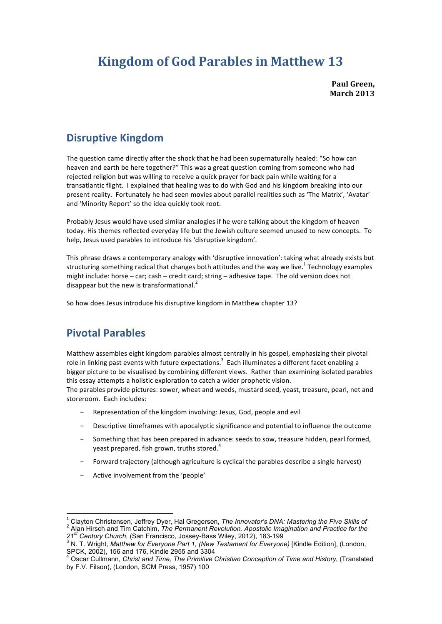# **Kingdom of God Parables in Matthew 13**

**Paul Green, March 2013**

# **Disruptive Kingdom**

The question came directly after the shock that he had been supernaturally healed: "So how can heaven and earth be here together?" This was a great question coming from someone who had rejected religion but was willing to receive a quick prayer for back pain while waiting for a transatlantic flight. I explained that healing was to do with God and his kingdom breaking into our present reality. Fortunately he had seen movies about parallel realities such as 'The Matrix', 'Avatar' and 'Minority Report' so the idea quickly took root.

Probably Jesus would have used similar analogies if he were talking about the kingdom of heaven today. His themes reflected everyday life but the Jewish culture seemed unused to new concepts. To help, Jesus used parables to introduce his 'disruptive kingdom'.

This phrase draws a contemporary analogy with 'disruptive innovation': taking what already exists but structuring something radical that changes both attitudes and the way we live.<sup>1</sup> Technology examples might include: horse – car; cash – credit card; string – adhesive tape. The old version does not disappear but the new is transformational.<sup>2</sup>

So how does Jesus introduce his disruptive kingdom in Matthew chapter 13?

# **Pivotal Parables**

Matthew assembles eight kingdom parables almost centrally in his gospel, emphasizing their pivotal role in linking past events with future expectations.<sup>3</sup> Each illuminates a different facet enabling a bigger picture to be visualised by combining different views. Rather than examining isolated parables this essay attempts a holistic exploration to catch a wider prophetic vision.

The parables provide pictures: sower, wheat and weeds, mustard seed, yeast, treasure, pearl, net and storeroom. Each includes:

- Representation of the kingdom involving: Jesus, God, people and evil
- Descriptive timeframes with apocalyptic significance and potential to influence the outcome
- Something that has been prepared in advance: seeds to sow, treasure hidden, pearl formed, yeast prepared, fish grown, truths stored.<sup>4</sup>
- Forward trajectory (although agriculture is cyclical the parables describe a single harvest)
- Active involvement from the 'people'

<sup>&</sup>lt;sup>1</sup> Clayton Christensen, Jeffrey Dyer, Hal Gregersen, *The Innovator's DNA: Mastering the Five Skills of* <sup>2</sup> Alan Hirsch and Tim Catchim, *The Permanent Revolution, Apostolic Imagination and Practice for the* 

<sup>21&</sup>lt;sup>st</sup> Century Church, (San Francisco, Jossey-Bass Wiley, 2012), 183-199<br><sup>3</sup> N. T. Wright, *Matthew for Everyone Part 1, (New Testament for Everyone) [Kindle Edition], (London,* SPCK, 2002), 156 and 176, Kindle 2955 and 3304

<sup>4</sup> Oscar Cullmann, *Christ and Time, The Primitive Christian Conception of Time and History*, (Translated by F.V. Filson), (London, SCM Press, 1957) 100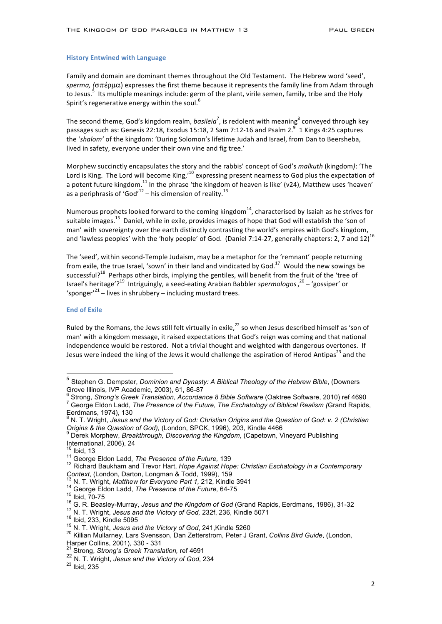### **History Entwined with Language**

Family and domain are dominant themes throughout the Old Testament. The Hebrew word 'seed', *sperma,* (σπέρμα) expresses the first theme because it represents the family line from Adam through to Jesus.<sup>5</sup> Its multiple meanings include: germ of the plant, virile semen, family, tribe and the Holy Spirit's regenerative energy within the soul.<sup>6</sup>

The second theme, God's kingdom realm, *basileia*<sup>7</sup>, is redolent with meaning<sup>8</sup> conveyed through key passages such as: Genesis 22:18, Exodus 15:18, 2 Sam 7:12-16 and Psalm 2. $^9$  1 Kings 4:25 captures the 'shalom' of the kingdom: 'During Solomon's lifetime Judah and Israel, from Dan to Beersheba, lived in safety, everyone under their own vine and fig tree.'

Morphew succinctly encapsulates the story and the rabbis' concept of God's *malkuth* (kingdom): 'The Lord is King. The Lord will become King,<sup>10</sup> expressing present nearness to God plus the expectation of a potent future kingdom.<sup>11</sup> In the phrase 'the kingdom of heaven is like' (v24), Matthew uses 'heaven' as a periphrasis of 'God'<sup>12</sup> – his dimension of reality.<sup>13</sup>

Numerous prophets looked forward to the coming kingdom<sup>14</sup>, characterised by Isaiah as he strives for suitable images.<sup>15</sup> Daniel, while in exile, provides images of hope that God will establish the 'son of man' with sovereignty over the earth distinctly contrasting the world's empires with God's kingdom, and 'lawless peoples' with the 'holy people' of God. (Daniel 7:14-27, generally chapters: 2, 7 and 12)<sup>16</sup>

The 'seed', within second-Temple Judaism, may be a metaphor for the 'remnant' people returning from exile, the true Israel, 'sown' in their land and vindicated by God.<sup>17</sup> Would the new sowings be successful?<sup>18</sup> Perhaps other birds, implying the gentiles, will benefit from the fruit of the 'tree of Israel's heritage<sup>'?19</sup> Intriguingly, a seed-eating Arabian Babbler *spermologos*,<sup>20</sup> – 'gossiper' or 'sponger'<sup>21</sup> – lives in shrubbery – including mustard trees.

### **End of Exile**

Ruled by the Romans, the Jews still felt virtually in exile, $^{22}$  so when Jesus described himself as 'son of man' with a kingdom message, it raised expectations that God's reign was coming and that national independence would be restored. Not a trivial thought and weighted with dangerous overtones. If Jesus were indeed the king of the Jews it would challenge the aspiration of Herod Antipas<sup>23</sup> and the

<sup>&</sup>lt;sup>5</sup> Stephen G. Dempster, *Dominion and Dynasty: A Biblical Theology of the Hebrew Bible*, (Downers Grove Illinois, IVP Academic, 2003), 61, 86-87

 $^6$  Strong, *Strong's Greek Translation, Accordance 8 Bible Software* (Oaktree Software, 2010) ref 4690<br><sup>7</sup> George Eldon Ladd, *The Presence of the Future, The Eschatology of Biblical Realism (*Grand Rapids, Eerdmans, 1974), 130<br> $8 \text{ N}$ , T. Wright, Jasus 3

<sup>8</sup> N. T. Wright, *Jesus and the Victory of God: Christian Origins and the Question of God: v. 2 (Christian Origins & the Question of God),* (London, SPCK, 1996), 203, Kindle 4466<br><sup>9</sup> Derek Morphew, *Breakthrough, Discovering the Kingdom*, (Capetown, Vineyard Publishing

International, 2006), 24<br><sup>10</sup> Ibid, 13

<sup>&</sup>lt;sup>11 George Eldon Ladd, *The Presence of the Future,* 139<br><sup>12</sup> Richard Baukham and Trevor Hart, *Hope Against Hope: Christian Eschatology in a Contemporary*<br>*Context*, (London, Darton, Longman & Todd, 1999), 159<br><sup>13</sup> N. T. </sup>

<sup>&</sup>lt;sup>13</sup> N. T. Wright, *Matthew for Everyone Part 1,* 212, Kindle 3941<br><sup>14</sup> George Eldon Ladd, *The Presence of the Future*, 64-75<br><sup>15</sup> Ibid, 70-75<br><sup>16</sup> G. R. Beasley-Murray, *Jesus and the Kingdom of God* (Grand Rapids, Eerd

Strong, Strong's Greek Translation, ref 4691

<sup>22</sup> N. T. Wright, *Jesus and the Victory of God*, 234<br><sup>23</sup> Ibid, 235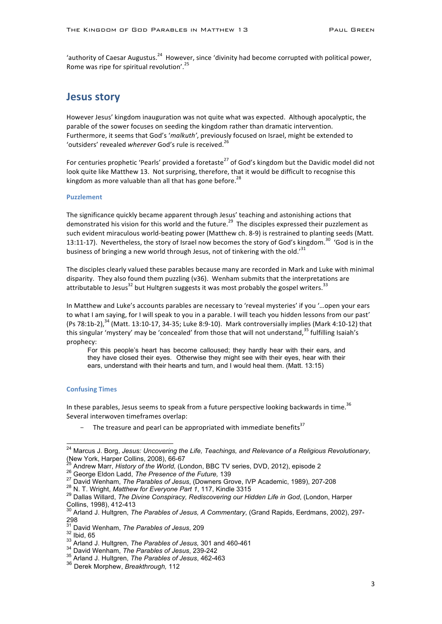'authority of Caesar Augustus.<sup>24</sup> However, since 'divinity had become corrupted with political power, Rome was ripe for spiritual revolution'.<sup>25</sup>

### **Jesus story**

However Jesus' kingdom inauguration was not quite what was expected. Although apocalyptic, the parable of the sower focuses on seeding the kingdom rather than dramatic intervention. Furthermore, it seems that God's '*malkuth'*, previously focused on Israel, might be extended to 'outsiders' revealed wherever God's rule is received.<sup>26</sup>

For centuries prophetic 'Pearls' provided a foretaste<sup>27</sup> of God's kingdom but the Davidic model did not look quite like Matthew 13. Not surprising, therefore, that it would be difficult to recognise this kingdom as more valuable than all that has gone before.<sup>28</sup>

#### **Puzzlement**

The significance quickly became apparent through Jesus' teaching and astonishing actions that demonstrated his vision for this world and the future.<sup>29</sup> The disciples expressed their puzzlement as such evident miraculous world-beating power (Matthew ch. 8-9) is restrained to planting seeds (Matt. 13:11-17). Nevertheless, the story of Israel now becomes the story of God's kingdom.<sup>30</sup> 'God is in the business of bringing a new world through Jesus, not of tinkering with the old.'<sup>31</sup>

The disciples clearly valued these parables because many are recorded in Mark and Luke with minimal disparity. They also found them puzzling (v36). Wenham submits that the interpretations are attributable to Jesus<sup>32</sup> but Hultgren suggests it was most probably the gospel writers.<sup>33</sup>

In Matthew and Luke's accounts parables are necessary to 'reveal mysteries' if you '...open your ears to what I am saying, for I will speak to you in a parable. I will teach you hidden lessons from our past' (Ps 78:1b-2),<sup>34</sup> (Matt. 13:10-17, 34-35; Luke 8:9-10). Mark controversially implies (Mark 4:10-12) that this singular 'mystery' may be 'concealed' from those that will not understand,<sup>35</sup> fulfilling Isaiah's prophecy: 

For this people's heart has become calloused; they hardly hear with their ears, and they have closed their eyes. Otherwise they might see with their eyes, hear with their ears, understand with their hearts and turn, and I would heal them. (Matt. 13:15)

#### **Confusing Times**

In these parables, Jesus seems to speak from a future perspective looking backwards in time.<sup>36</sup> Several interwoven timeframes overlap:

The treasure and pearl can be appropriated with immediate benefits<sup>37</sup>

<sup>&</sup>lt;sup>24</sup> Marcus J. Borg, *Jesus: Uncovering the Life, Teachings, and Relevance of a Religious Revolutionary,*<br>(New York, Harper Collins, 2008), 66-67

<sup>&</sup>lt;sup>25</sup> Andrew Marr, *History of the World*, (London, BBC TV series, DVD, 2012), episode 2<br><sup>26</sup> George Eldon Ladd, *The Presence of the Future*, 139<br><sup>27</sup> David Wenham, *The Parables of Jesus*, (Downers Grove, IVP Academic, 19

Collins, 1998), 412-413 <sup>30</sup> Arland J. Hultgren, *The Parables of Jesus, A Commentary*, (Grand Rapids, Eerdmans, 2002), 297- 298<br><sup>31</sup> David Wenham, The Parables of Jesus, 209

 $\frac{32}{33}$  Ibid, 65<br>  $\frac{33}{34}$  Arland J. Hultgren, *The Parables of Jesus,* 301 and 460-461<br>  $\frac{33}{34}$  David Wenham, *The Parables of Jesus*, 239-242<br>  $\frac{35}{34}$  Arland J. Hultgren, *The Parables of Jesus*, 462-463

<sup>36</sup> Derek Morphew, *Breakthrough,* 112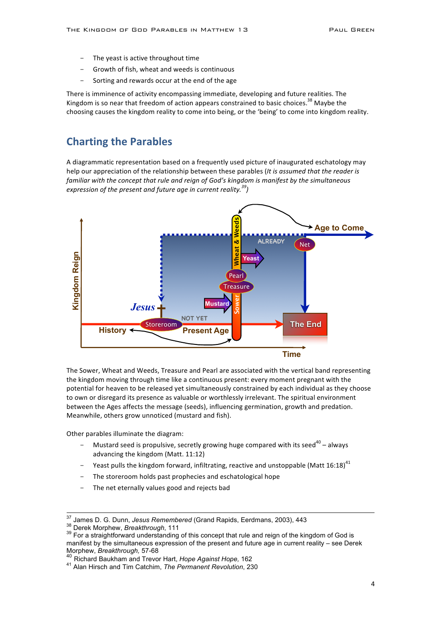- The yeast is active throughout time
- Growth of fish, wheat and weeds is continuous
- Sorting and rewards occur at the end of the age

There is imminence of activity encompassing immediate, developing and future realities. The Kingdom is so near that freedom of action appears constrained to basic choices.<sup>38</sup> Maybe the choosing causes the kingdom reality to come into being, or the 'being' to come into kingdom reality.

### **Charting the Parables**

A diagrammatic representation based on a frequently used picture of inaugurated eschatology may help our appreciation of the relationship between these parables (*It is assumed that the reader is familiar* with the concept that rule and reign of God's kingdom is manifest by the simultaneous *expression* of the present and future age in current reality.<sup>39</sup>)



The Sower, Wheat and Weeds, Treasure and Pearl are associated with the vertical band representing the kingdom moving through time like a continuous present: every moment pregnant with the potential for heaven to be released yet simultaneously constrained by each individual as they choose to own or disregard its presence as valuable or worthlessly irrelevant. The spiritual environment between the Ages affects the message (seeds), influencing germination, growth and predation. Meanwhile, others grow unnoticed (mustard and fish).

Other parables illuminate the diagram:

- Mustard seed is propulsive, secretly growing huge compared with its seed<sup>40</sup> always advancing the kingdom (Matt. 11:12)
- Yeast pulls the kingdom forward, infiltrating, reactive and unstoppable (Matt  $16:18)^{41}$
- The storeroom holds past prophecies and eschatological hope
- The net eternally values good and rejects bad

<sup>&</sup>lt;sup>37</sup> James D. G. Dunn, *Jesus Remembered* (Grand Rapids, Eerdmans, 2003), 443<br><sup>38</sup> Derek Morphew, *Breakthrough*, 111<br><sup>39</sup> For a straightforward understanding of this concept that rule and reign of the kingdom of God is manifest by the simultaneous expression of the present and future age in current reality – see Derek Morphew, *Breakthrough,* 57-68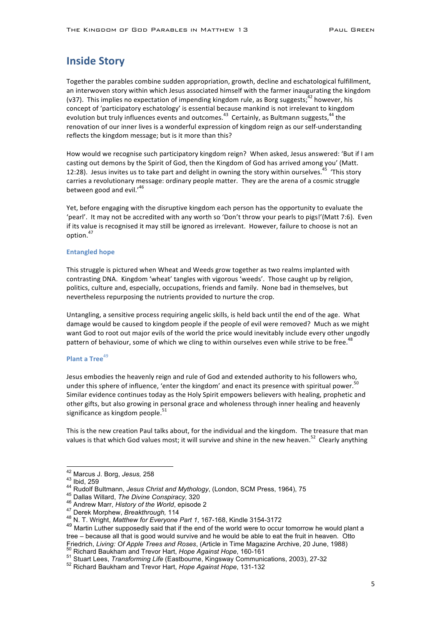### **Inside Story**

Together the parables combine sudden appropriation, growth, decline and eschatological fulfillment, an interwoven story within which Jesus associated himself with the farmer inaugurating the kingdom (v37). This implies no expectation of impending kingdom rule, as Borg suggests;  $42$  however, his concept of 'participatory eschatology' is essential because mankind is not irrelevant to kingdom evolution but truly influences events and outcomes.<sup>43</sup> Certainly, as Bultmann suggests,<sup>44</sup> the renovation of our inner lives is a wonderful expression of kingdom reign as our self-understanding reflects the kingdom message; but is it more than this?

How would we recognise such participatory kingdom reign? When asked, Jesus answered: 'But if I am casting out demons by the Spirit of God, then the Kingdom of God has arrived among you' (Matt.) 12:28). Jesus invites us to take part and delight in owning the story within ourselves.<sup>45</sup> 'This story carries a revolutionary message: ordinary people matter. They are the arena of a cosmic struggle between good and evil. $146$ 

Yet, before engaging with the disruptive kingdom each person has the opportunity to evaluate the 'pearl'. It may not be accredited with any worth so 'Don't throw your pearls to pigs!'(Matt 7:6). Even if its value is recognised it may still be ignored as irrelevant. However, failure to choose is not an option. 47

#### **Entangled hope**

This struggle is pictured when Wheat and Weeds grow together as two realms implanted with contrasting DNA. Kingdom 'wheat' tangles with vigorous 'weeds'. Those caught up by religion, politics, culture and, especially, occupations, friends and family. None bad in themselves, but nevertheless repurposing the nutrients provided to nurture the crop.

Untangling, a sensitive process requiring angelic skills, is held back until the end of the age. What damage would be caused to kingdom people if the people of evil were removed? Much as we might want God to root out major evils of the world the price would inevitably include every other ungodly pattern of behaviour, some of which we cling to within ourselves even while strive to be free.<sup>4</sup>

### **Plant a Tree**<sup>49</sup>

Jesus embodies the heavenly reign and rule of God and extended authority to his followers who, under this sphere of influence, 'enter the kingdom' and enact its presence with spiritual power.<sup>50</sup> Similar evidence continues today as the Holy Spirit empowers believers with healing, prophetic and other gifts, but also growing in personal grace and wholeness through inner healing and heavenly significance as kingdom people. $51$ 

This is the new creation Paul talks about, for the individual and the kingdom. The treasure that man values is that which God values most; it will survive and shine in the new heaven.<sup>52</sup> Clearly anything

<sup>&</sup>lt;sup>42</sup> Marcus J. Borg, *Jesus,* 258<br>
<sup>43</sup> Ibid, 259<br>
<sup>44</sup> Rudolf Bultmann, *Jesus Christ and Mythology*, (London, SCM Press, 1964), 75<br>
<sup>45</sup> Dallas Willard, *The Divine Conspiracy,* 320<br>
<sup>46</sup> Andrew Marr, *History of the Wo* 

<sup>49</sup> Martin Luther supposedly said that if the end of the world were to occur tomorrow he would plant a tree – because all that is good would survive and he would be able to eat the fruit in heaven. Otto Friedrich, Living: Of Apple Trees and Roses, (Article in Time Magazine Archive, 20 June, 1988)<br><sup>50</sup> Richard Baukham and Trevor Hart, *Hope Against Hope*, 160-161<br><sup>51</sup> Stuart Lees, *Transforming Life* (Eastbourne, Kingsway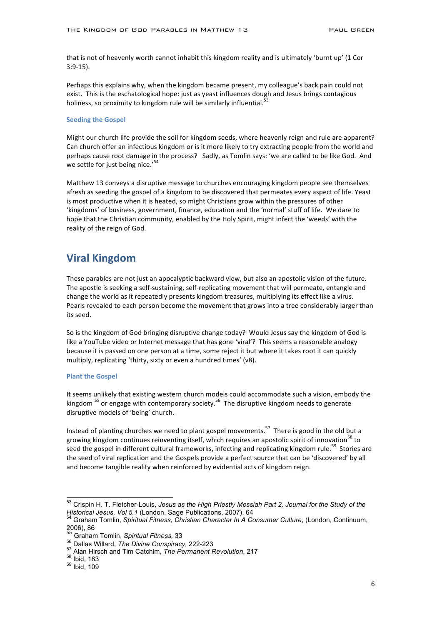that is not of heavenly worth cannot inhabit this kingdom reality and is ultimately 'burnt up' (1 Cor 3:9-15). 

Perhaps this explains why, when the kingdom became present, my colleague's back pain could not exist. This is the eschatological hope: just as yeast influences dough and Jesus brings contagious holiness, so proximity to kingdom rule will be similarly influential.

#### **Seeding the Gospel**

Might our church life provide the soil for kingdom seeds, where heavenly reign and rule are apparent? Can church offer an infectious kingdom or is it more likely to try extracting people from the world and perhaps cause root damage in the process? Sadly, as Tomlin says: 'we are called to be like God. And we settle for just being nice.'<sup>54</sup>

Matthew 13 conveys a disruptive message to churches encouraging kingdom people see themselves afresh as seeding the gospel of a kingdom to be discovered that permeates every aspect of life. Yeast is most productive when it is heated, so might Christians grow within the pressures of other 'kingdoms' of business, government, finance, education and the 'normal' stuff of life. We dare to hope that the Christian community, enabled by the Holy Spirit, might infect the 'weeds' with the reality of the reign of God.

# **Viral Kingdom**

These parables are not just an apocalyptic backward view, but also an apostolic vision of the future. The apostle is seeking a self-sustaining, self-replicating movement that will permeate, entangle and change the world as it repeatedly presents kingdom treasures, multiplying its effect like a virus. Pearls revealed to each person become the movement that grows into a tree considerably larger than its seed.

So is the kingdom of God bringing disruptive change today? Would Jesus say the kingdom of God is like a YouTube video or Internet message that has gone 'viral'? This seems a reasonable analogy because it is passed on one person at a time, some reject it but where it takes root it can quickly multiply, replicating 'thirty, sixty or even a hundred times' (v8).

### **Plant the Gospel**

It seems unlikely that existing western church models could accommodate such a vision, embody the kingdom  $^{55}$  or engage with contemporary society.<sup>56</sup> The disruptive kingdom needs to generate disruptive models of 'being' church.

Instead of planting churches we need to plant gospel movements.<sup>57</sup> There is good in the old but a growing kingdom continues reinventing itself, which requires an apostolic spirit of innovation<sup>58</sup> to seed the gospel in different cultural frameworks, infecting and replicating kingdom rule.<sup>59</sup> Stories are the seed of viral replication and the Gospels provide a perfect source that can be 'discovered' by all and become tangible reality when reinforced by evidential acts of kingdom reign.

 <sup>53</sup> Crispin H. T. Fletcher-Louis, *Jesus as the High Priestly Messiah Part 2, Journal for the Study of the Historical Jesus, Vol 5.1* (London, Sage Publications, 2007), 64<br><sup>54</sup> Graham Tomlin, *Spiritual Fitness, Christian Character In A Consumer Culture*, (London, Continuum,

 $2006$ ), 86

<sup>55</sup> Graham Tomlin, *Spiritual Fitness,* 33<br>56 Dallas Willard, *The Divine Conspiracy,* 222-223<br><sup>57</sup> Alan Hirsch and Tim Catchim, *The Permanent Revolution*, 217<br><sup>58</sup> Ibid, 183<br><sup>59</sup> Ibid, 109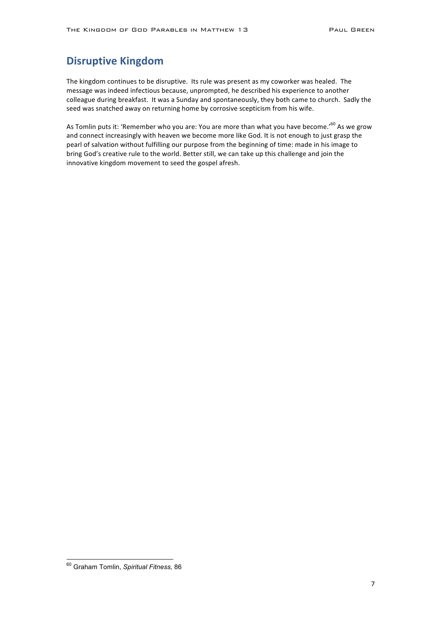# **Disruptive Kingdom**

The kingdom continues to be disruptive. Its rule was present as my coworker was healed. The message was indeed infectious because, unprompted, he described his experience to another colleague during breakfast. It was a Sunday and spontaneously, they both came to church. Sadly the seed was snatched away on returning home by corrosive scepticism from his wife.

As Tomlin puts it: 'Remember who you are: You are more than what you have become.'<sup>60</sup> As we grow and connect increasingly with heaven we become more like God. It is not enough to just grasp the pearl of salvation without fulfilling our purpose from the beginning of time: made in his image to bring God's creative rule to the world. Better still, we can take up this challenge and join the innovative kingdom movement to seed the gospel afresh.

 <sup>60</sup> Graham Tomlin, *Spiritual Fitness,* <sup>86</sup>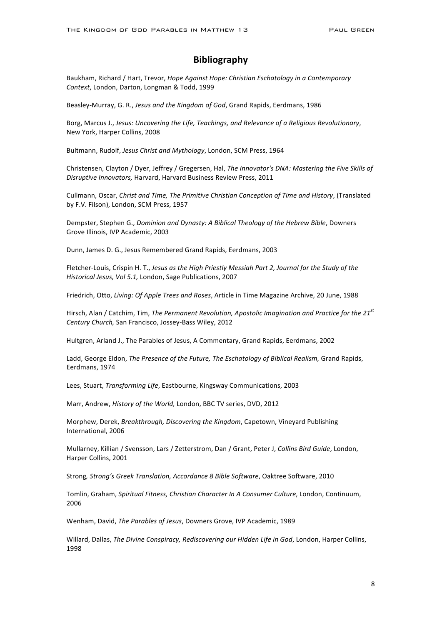### **Bibliography**

Baukham, Richard / Hart, Trevor, *Hope Against Hope: Christian Eschatology in a Contemporary* Context, London, Darton, Longman & Todd, 1999

Beasley-Murray, G. R., *Jesus and the Kingdom of God*, Grand Rapids, Eerdmans, 1986

Borg, Marcus J., Jesus: Uncovering the Life, Teachings, and Relevance of a Religious Revolutionary, New York, Harper Collins, 2008

Bultmann, Rudolf, *Jesus Christ and Mythology*, London, SCM Press, 1964

Christensen, Clayton / Dyer, Jeffrey / Gregersen, Hal, *The Innovator's DNA: Mastering the Five Skills of* Disruptive Innovators, Harvard, Harvard Business Review Press, 2011

Cullmann, Oscar, *Christ and Time, The Primitive Christian Conception of Time and History*, (Translated by F.V. Filson), London, SCM Press, 1957

Dempster, Stephen G., *Dominion and Dynasty: A Biblical Theology of the Hebrew Bible*, Downers Grove Illinois, IVP Academic, 2003

Dunn, James D. G., Jesus Remembered Grand Rapids, Eerdmans, 2003

Fletcher-Louis, Crispin H. T., Jesus as the High Priestly Messiah Part 2, Journal for the Study of the *Historical Jesus, Vol 5.1, London, Sage Publications, 2007* 

Friedrich, Otto, *Living: Of Apple Trees and Roses*, Article in Time Magazine Archive, 20 June, 1988

Hirsch, Alan / Catchim, Tim, *The Permanent Revolution, Apostolic Imagination and Practice for the 21<sup>st</sup> Century Church,* San Francisco, Jossey-Bass Wiley, 2012

Hultgren, Arland J., The Parables of Jesus, A Commentary, Grand Rapids, Eerdmans, 2002

Ladd, George Eldon, *The Presence of the Future, The Eschatology of Biblical Realism, Grand Rapids,* Eerdmans, 1974

Lees, Stuart, *Transforming Life*, Eastbourne, Kingsway Communications, 2003

Marr, Andrew, *History of the World*, London, BBC TV series, DVD, 2012

Morphew, Derek, *Breakthrough, Discovering the Kingdom*, Capetown, Vineyard Publishing International, 2006

Mullarney, Killian / Svensson, Lars / Zetterstrom, Dan / Grant, Peter J, *Collins Bird Guide*, London, Harper Collins, 2001

Strong, Strong's Greek Translation, Accordance 8 Bible Software, Oaktree Software, 2010

Tomlin, Graham, *Spiritual Fitness, Christian Character In A Consumer Culture*, London, Continuum, 2006

Wenham, David, *The Parables of Jesus*, Downers Grove, IVP Academic, 1989

Willard, Dallas, *The Divine Conspiracy, Rediscovering our Hidden Life in God*, London, Harper Collins, 1998